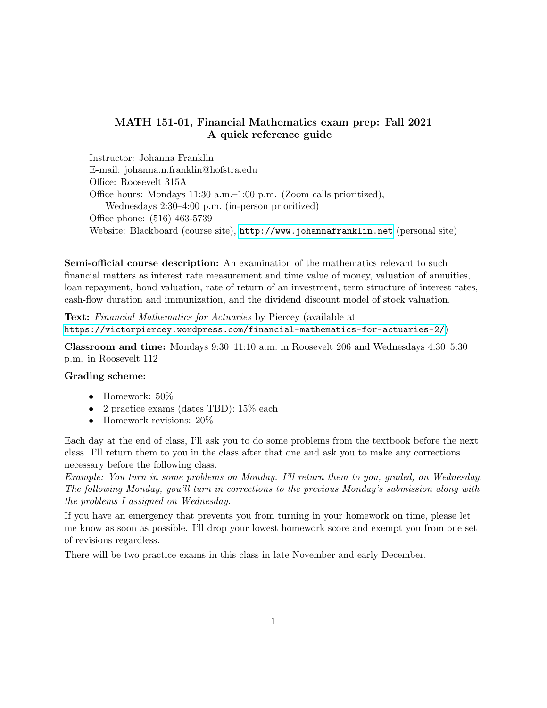## MATH 151-01, Financial Mathematics exam prep: Fall 2021 A quick reference guide

Instructor: Johanna Franklin E-mail: johanna.n.franklin@hofstra.edu Office: Roosevelt 315A Office hours: Mondays 11:30 a.m.–1:00 p.m. (Zoom calls prioritized), Wednesdays 2:30–4:00 p.m. (in-person prioritized) Office phone: (516) 463-5739 Website: Blackboard (course site), <http://www.johannafranklin.net> (personal site)

Semi-official course description: An examination of the mathematics relevant to such financial matters as interest rate measurement and time value of money, valuation of annuities, loan repayment, bond valuation, rate of return of an investment, term structure of interest rates, cash-flow duration and immunization, and the dividend discount model of stock valuation.

Text: Financial Mathematics for Actuaries by Piercey (available at <https://victorpiercey.wordpress.com/financial-mathematics-for-actuaries-2/>)

Classroom and time: Mondays 9:30–11:10 a.m. in Roosevelt 206 and Wednesdays 4:30–5:30 p.m. in Roosevelt 112

## Grading scheme:

- Homework:  $50\%$
- 2 practice exams (dates TBD): 15\% each
- Homework revisions:  $20\%$

Each day at the end of class, I'll ask you to do some problems from the textbook before the next class. I'll return them to you in the class after that one and ask you to make any corrections necessary before the following class.

Example: You turn in some problems on Monday. I'll return them to you, graded, on Wednesday. The following Monday, you'll turn in corrections to the previous Monday's submission along with the problems I assigned on Wednesday.

If you have an emergency that prevents you from turning in your homework on time, please let me know as soon as possible. I'll drop your lowest homework score and exempt you from one set of revisions regardless.

There will be two practice exams in this class in late November and early December.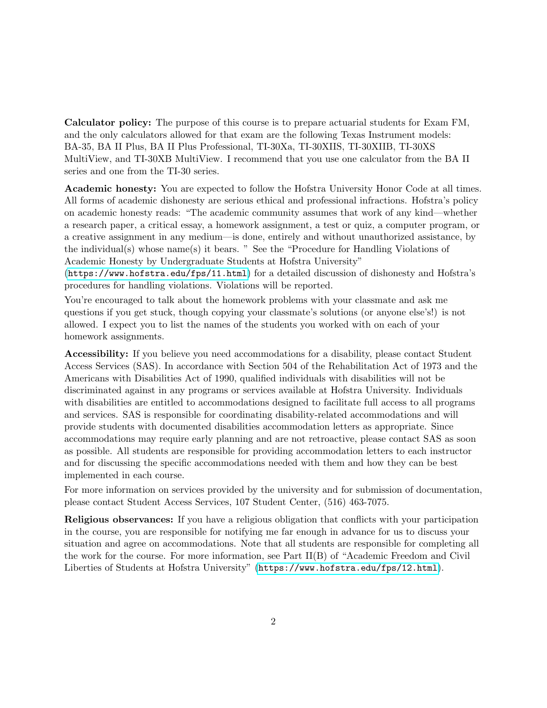Calculator policy: The purpose of this course is to prepare actuarial students for Exam FM, and the only calculators allowed for that exam are the following Texas Instrument models: BA-35, BA II Plus, BA II Plus Professional, TI-30Xa, TI-30XIIS, TI-30XIIB, TI-30XS MultiView, and TI-30XB MultiView. I recommend that you use one calculator from the BA II series and one from the TI-30 series.

Academic honesty: You are expected to follow the Hofstra University Honor Code at all times. All forms of academic dishonesty are serious ethical and professional infractions. Hofstra's policy on academic honesty reads: "The academic community assumes that work of any kind—whether a research paper, a critical essay, a homework assignment, a test or quiz, a computer program, or a creative assignment in any medium—is done, entirely and without unauthorized assistance, by the individual(s) whose name(s) it bears. " See the "Procedure for Handling Violations of Academic Honesty by Undergraduate Students at Hofstra University"

(<https://www.hofstra.edu/fps/11.html>) for a detailed discussion of dishonesty and Hofstra's procedures for handling violations. Violations will be reported.

You're encouraged to talk about the homework problems with your classmate and ask me questions if you get stuck, though copying your classmate's solutions (or anyone else's!) is not allowed. I expect you to list the names of the students you worked with on each of your homework assignments.

Accessibility: If you believe you need accommodations for a disability, please contact Student Access Services (SAS). In accordance with Section 504 of the Rehabilitation Act of 1973 and the Americans with Disabilities Act of 1990, qualified individuals with disabilities will not be discriminated against in any programs or services available at Hofstra University. Individuals with disabilities are entitled to accommodations designed to facilitate full access to all programs and services. SAS is responsible for coordinating disability-related accommodations and will provide students with documented disabilities accommodation letters as appropriate. Since accommodations may require early planning and are not retroactive, please contact SAS as soon as possible. All students are responsible for providing accommodation letters to each instructor and for discussing the specific accommodations needed with them and how they can be best implemented in each course.

For more information on services provided by the university and for submission of documentation, please contact Student Access Services, 107 Student Center, (516) 463-7075.

Religious observances: If you have a religious obligation that conflicts with your participation in the course, you are responsible for notifying me far enough in advance for us to discuss your situation and agree on accommodations. Note that all students are responsible for completing all the work for the course. For more information, see Part II(B) of "Academic Freedom and Civil Liberties of Students at Hofstra University" (<https://www.hofstra.edu/fps/12.html>).